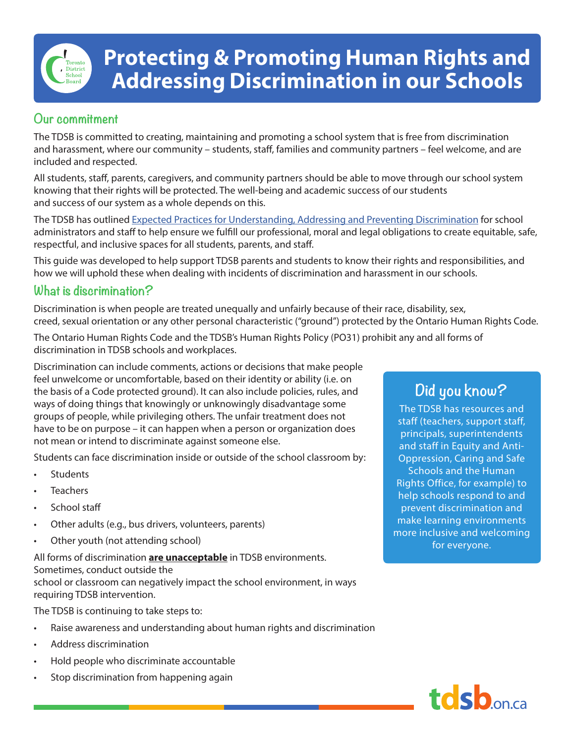# **Protecting & Promoting Human Rights and Addressing Discrimination in our Schools**

### **Our commitment**

The TDSB is committed to creating, maintaining and promoting a school system that is free from discrimination and harassment, where our community – students, staff, families and community partners – feel welcome, and are included and respected.

All students, staff, parents, caregivers, and community partners should be able to move through our school system knowing that their rights will be protected. The well-being and academic success of our students and success of our system as a whole depends on this.

The TDSB has outlined [Expected Practices for Understanding, Addressing and Preventing Discrimination](https://www.tdsb.on.ca/Portals/0/docs/TDSB%20DiscriminationBroch%20(12).pdf) for school administrators and staff to help ensure we fulfill our professional, moral and legal obligations to create equitable, safe, respectful, and inclusive spaces for all students, parents, and staff.

This guide was developed to help support TDSB parents and students to know their rights and responsibilities, and how we will uphold these when dealing with incidents of discrimination and harassment in our schools.

#### **What is discrimination?**

Discrimination is when people are treated unequally and unfairly because of their race, disability, sex, creed, sexual orientation or any other personal characteristic ("ground") protected by the Ontario Human Rights Code.

The Ontario Human Rights Code and the TDSB's Human Rights Policy (PO31) prohibit any and all forms of discrimination in TDSB schools and workplaces.

Discrimination can include comments, actions or decisions that make people feel unwelcome or uncomfortable, based on their identity or ability (i.e. on the basis of a Code protected ground). It can also include policies, rules, and ways of doing things that knowingly or unknowingly disadvantage some groups of people, while privileging others. The unfair treatment does not have to be on purpose – it can happen when a person or organization does not mean or intend to discriminate against someone else.

Students can face discrimination inside or outside of the school classroom by:

- **Students**
- **Teachers**
- School staff
- Other adults (e.g., bus drivers, volunteers, parents)
- Other youth (not attending school)

All forms of discrimination **are unacceptable** in TDSB environments. Sometimes, conduct outside the school or classroom can negatively impact the school environment, in ways requiring TDSB intervention.

The TDSB is continuing to take steps to:

- Raise awareness and understanding about human rights and discrimination
- Address discrimination
- Hold people who discriminate accountable
- Stop discrimination from happening again

## **Did you know?**

The TDSB has resources and staff (teachers, support staff, principals, superintendents and staff in Equity and Anti-Oppression, Caring and Safe Schools and the Human Rights Office, for example) to help schools respond to and prevent discrimination and make learning environments more inclusive and welcoming for everyone.